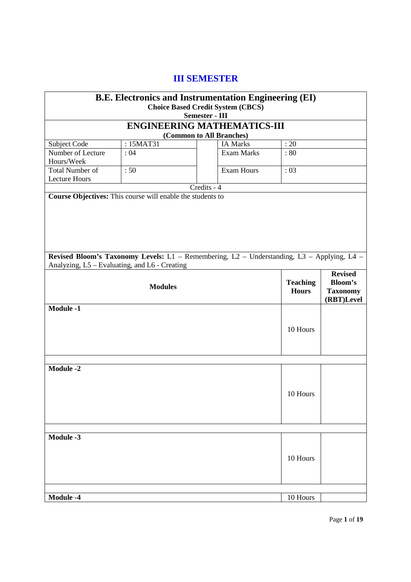# **III SEMESTER**

|                                      |                                                            | <b>B.E. Electronics and Instrumentation Engineering (EI)</b>                               |                 |                 |  |  |  |
|--------------------------------------|------------------------------------------------------------|--------------------------------------------------------------------------------------------|-----------------|-----------------|--|--|--|
|                                      |                                                            | <b>Choice Based Credit System (CBCS)</b><br><b>Semester - III</b>                          |                 |                 |  |  |  |
| <b>ENGINEERING MATHEMATICS-III</b>   |                                                            |                                                                                            |                 |                 |  |  |  |
| (Common to All Branches)             |                                                            |                                                                                            |                 |                 |  |  |  |
| Subject Code                         | : 15MAT31                                                  | <b>IA Marks</b>                                                                            | : 20            |                 |  |  |  |
| Number of Lecture                    | :04                                                        | <b>Exam Marks</b>                                                                          | :80             |                 |  |  |  |
| Hours/Week<br><b>Total Number of</b> |                                                            |                                                                                            |                 |                 |  |  |  |
| <b>Lecture Hours</b>                 | :50                                                        | <b>Exam Hours</b>                                                                          | :03             |                 |  |  |  |
|                                      |                                                            | Credits - 4                                                                                |                 |                 |  |  |  |
|                                      | Course Objectives: This course will enable the students to |                                                                                            |                 |                 |  |  |  |
|                                      |                                                            |                                                                                            |                 |                 |  |  |  |
|                                      |                                                            |                                                                                            |                 |                 |  |  |  |
|                                      |                                                            |                                                                                            |                 |                 |  |  |  |
|                                      |                                                            |                                                                                            |                 |                 |  |  |  |
|                                      |                                                            |                                                                                            |                 |                 |  |  |  |
|                                      |                                                            |                                                                                            |                 |                 |  |  |  |
|                                      |                                                            | Revised Bloom's Taxonomy Levels: L1 - Remembering, L2 - Understanding, L3 - Applying, L4 - |                 |                 |  |  |  |
|                                      | Analyzing, L5 – Evaluating, and L6 - Creating              |                                                                                            |                 | <b>Revised</b>  |  |  |  |
|                                      |                                                            |                                                                                            | <b>Teaching</b> | <b>Bloom's</b>  |  |  |  |
|                                      | <b>Modules</b>                                             |                                                                                            | <b>Hours</b>    | <b>Taxonomy</b> |  |  |  |
|                                      |                                                            |                                                                                            |                 | (RBT)Level      |  |  |  |
| <b>Module -1</b>                     |                                                            |                                                                                            |                 |                 |  |  |  |
|                                      |                                                            |                                                                                            |                 |                 |  |  |  |
|                                      |                                                            |                                                                                            | 10 Hours        |                 |  |  |  |
|                                      |                                                            |                                                                                            |                 |                 |  |  |  |
|                                      |                                                            |                                                                                            |                 |                 |  |  |  |
|                                      |                                                            |                                                                                            |                 |                 |  |  |  |
| <b>Module -2</b>                     |                                                            |                                                                                            |                 |                 |  |  |  |
|                                      |                                                            |                                                                                            |                 |                 |  |  |  |
|                                      |                                                            |                                                                                            |                 |                 |  |  |  |
|                                      |                                                            |                                                                                            | 10 Hours        |                 |  |  |  |
|                                      |                                                            |                                                                                            |                 |                 |  |  |  |
|                                      |                                                            |                                                                                            |                 |                 |  |  |  |
|                                      |                                                            |                                                                                            |                 |                 |  |  |  |
|                                      |                                                            |                                                                                            |                 |                 |  |  |  |
| Module -3                            |                                                            |                                                                                            |                 |                 |  |  |  |
|                                      |                                                            |                                                                                            |                 |                 |  |  |  |
|                                      |                                                            |                                                                                            | 10 Hours        |                 |  |  |  |
|                                      |                                                            |                                                                                            |                 |                 |  |  |  |
|                                      |                                                            |                                                                                            |                 |                 |  |  |  |
|                                      |                                                            |                                                                                            |                 |                 |  |  |  |
| Module -4                            |                                                            |                                                                                            | 10 Hours        |                 |  |  |  |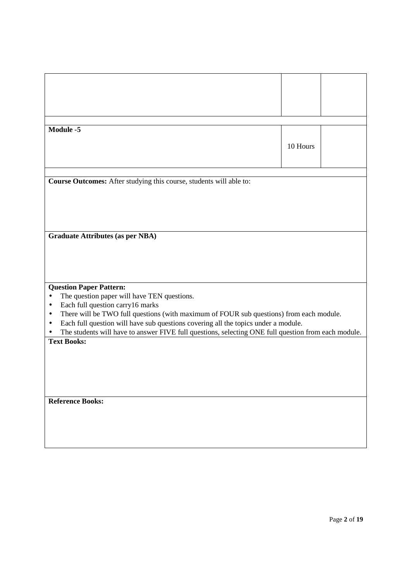| <b>Module -5</b>                                                                                     |          |  |
|------------------------------------------------------------------------------------------------------|----------|--|
|                                                                                                      |          |  |
|                                                                                                      | 10 Hours |  |
|                                                                                                      |          |  |
|                                                                                                      |          |  |
|                                                                                                      |          |  |
| Course Outcomes: After studying this course, students will able to:                                  |          |  |
|                                                                                                      |          |  |
|                                                                                                      |          |  |
|                                                                                                      |          |  |
|                                                                                                      |          |  |
| <b>Graduate Attributes (as per NBA)</b>                                                              |          |  |
|                                                                                                      |          |  |
|                                                                                                      |          |  |
|                                                                                                      |          |  |
|                                                                                                      |          |  |
|                                                                                                      |          |  |
| <b>Question Paper Pattern:</b><br>The question paper will have TEN questions.<br>$\bullet$           |          |  |
| Each full question carry16 marks<br>$\bullet$                                                        |          |  |
| There will be TWO full questions (with maximum of FOUR sub questions) from each module.<br>$\bullet$ |          |  |
| Each full question will have sub questions covering all the topics under a module.<br>$\bullet$      |          |  |
| The students will have to answer FIVE full questions, selecting ONE full question from each module.  |          |  |
| <b>Text Books:</b>                                                                                   |          |  |
|                                                                                                      |          |  |
|                                                                                                      |          |  |
|                                                                                                      |          |  |
|                                                                                                      |          |  |
|                                                                                                      |          |  |
| <b>Reference Books:</b>                                                                              |          |  |
|                                                                                                      |          |  |
|                                                                                                      |          |  |
|                                                                                                      |          |  |
|                                                                                                      |          |  |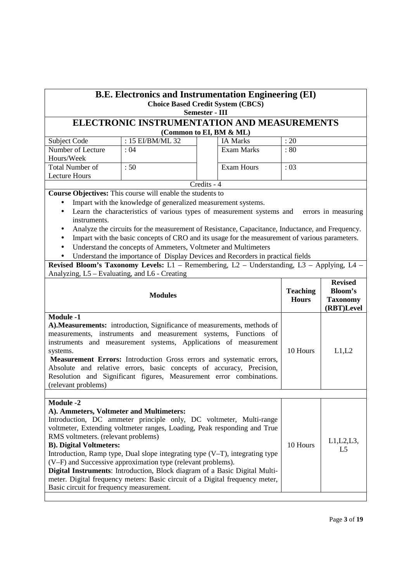## **B.E. Electronics and Instrumentation Engineering (EI) Choice Based Credit System (CBCS)**

## **Semester - III**

## **ELECTRONIC INSTRUMENTATION AND MEASUREMENTS (Common to EI, BM & ML)**

| Subject Code           | : $15$ EI/BM/ML 32 |  | <b>IA Marks</b> | : 20 |  |
|------------------------|--------------------|--|-----------------|------|--|
| Number of Lecture      | : 04               |  | Exam Marks      | :80  |  |
| Hours/Week             |                    |  |                 |      |  |
| <b>Total Number of</b> | :50                |  | Exam Hours      | :03  |  |
| Lecture Hours          |                    |  |                 |      |  |
| Credits - 4            |                    |  |                 |      |  |

**Course Objectives:** This course will enable the students to

• Impart with the knowledge of generalized measurement systems.

- Learn the characteristics of various types of measurement systems and errors in measuring instruments.
- Analyze the circuits for the measurement of Resistance, Capacitance, Inductance, and Frequency.
- Impart with the basic concepts of CRO and its usage for the measurement of various parameters.
- Understand the concepts of Ammeters, Voltmeter and Multimeters
- Understand the importance of Display Devices and Recorders in practical fields

**Revised Bloom's Taxonomy Levels:** L1 – Remembering, L2 – Understanding, L3 – Applying, L4 – Analyzing, L5 – Evaluating, and L6 - Creating

| <b>Modules</b>                                                                                                                                                                                                                                                                                                                                                                                                                                                                                                                                                                                                                                 | <b>Teaching</b><br><b>Hours</b> | <b>Revised</b><br>Bloom's<br><b>Taxonomy</b><br>(RBT)Level |
|------------------------------------------------------------------------------------------------------------------------------------------------------------------------------------------------------------------------------------------------------------------------------------------------------------------------------------------------------------------------------------------------------------------------------------------------------------------------------------------------------------------------------------------------------------------------------------------------------------------------------------------------|---------------------------------|------------------------------------------------------------|
| <b>Module -1</b><br>A). Measurements: introduction, Significance of measurements, methods of<br>measurements, instruments and measurement systems, Functions of<br>instruments and measurement systems, Applications of measurement<br>systems.<br>Measurement Errors: Introduction Gross errors and systematic errors,<br>Absolute and relative errors, basic concepts of accuracy, Precision,<br>Resolution and Significant figures, Measurement error combinations.<br>(relevant problems)                                                                                                                                                  | 10 Hours                        | L1,L2                                                      |
|                                                                                                                                                                                                                                                                                                                                                                                                                                                                                                                                                                                                                                                |                                 |                                                            |
| Module -2<br>A). Ammeters, Voltmeter and Multimeters:<br>Introduction, DC ammeter principle only, DC voltmeter, Multi-range<br>voltmeter, Extending voltmeter ranges, Loading, Peak responding and True<br>RMS voltmeters. (relevant problems)<br><b>B</b> ). Digital Voltmeters:<br>Introduction, Ramp type, Dual slope integrating type $(V-T)$ , integrating type<br>(V-F) and Successive approximation type (relevant problems).<br>Digital Instruments: Introduction, Block diagram of a Basic Digital Multi-<br>meter. Digital frequency meters: Basic circuit of a Digital frequency meter,<br>Basic circuit for frequency measurement. | 10 Hours                        | L1, L2, L3,<br>L <sub>5</sub>                              |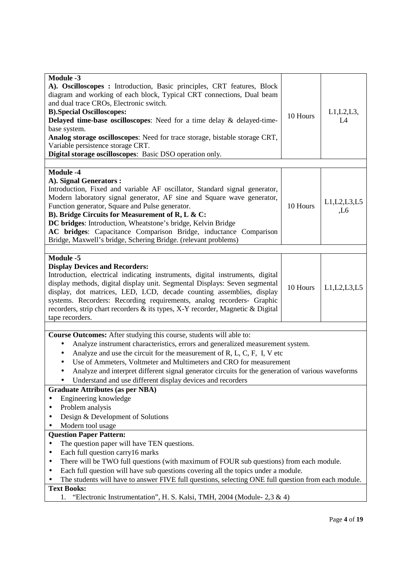| <b>Module -3</b><br>A). Oscilloscopes : Introduction, Basic principles, CRT features, Block<br>diagram and working of each block, Typical CRT connections, Dual beam<br>and dual trace CROs, Electronic switch.<br><b>B).Special Oscilloscopes:</b><br>Delayed time-base oscilloscopes: Need for a time delay $\&$ delayed-time-<br>base system.<br>Analog storage oscilloscopes: Need for trace storage, bistable storage CRT,<br>Variable persistence storage CRT.<br>Digital storage oscilloscopes: Basic DSO operation only.                                                                                                                          | 10 Hours | L1, L2, L3,<br>L4      |
|-----------------------------------------------------------------------------------------------------------------------------------------------------------------------------------------------------------------------------------------------------------------------------------------------------------------------------------------------------------------------------------------------------------------------------------------------------------------------------------------------------------------------------------------------------------------------------------------------------------------------------------------------------------|----------|------------------------|
| <b>Module -4</b><br>A). Signal Generators :<br>Introduction, Fixed and variable AF oscillator, Standard signal generator,<br>Modern laboratory signal generator, AF sine and Square wave generator,<br>Function generator, Square and Pulse generator.<br>B). Bridge Circuits for Measurement of R, L & C:<br>DC bridges: Introduction, Wheatstone's bridge, Kelvin Bridge<br>AC bridges: Capacitance Comparison Bridge, inductance Comparison<br>Bridge, Maxwell's bridge, Schering Bridge. (relevant problems)                                                                                                                                          | 10 Hours | L1, L2, L3, L5<br>, L6 |
| <b>Module -5</b><br><b>Display Devices and Recorders:</b><br>Introduction, electrical indicating instruments, digital instruments, digital<br>display methods, digital display unit. Segmental Displays: Seven segmental<br>display, dot matrices, LED, LCD, decade counting assemblies, display<br>systems. Recorders: Recording requirements, analog recorders- Graphic<br>recorders, strip chart recorders & its types, X-Y recorder, Magnetic & Digital<br>tape recorders.                                                                                                                                                                            | 10 Hours | L1, L2, L3, L5         |
| Course Outcomes: After studying this course, students will able to:<br>Analyze instrument characteristics, errors and generalized measurement system.<br>٠<br>Analyze and use the circuit for the measurement of $R, L, C, F, I, V$ etc<br>$\bullet$<br>Use of Ammeters, Voltmeter and Multimeters and CRO for measurement<br>$\bullet$<br>Analyze and interpret different signal generator circuits for the generation of various waveforms<br>$\bullet$<br>Understand and use different display devices and recorders<br><b>Graduate Attributes (as per NBA)</b><br>Engineering knowledge<br>Problem analysis<br>Design & Development of Solutions<br>٠ |          |                        |
| Modern tool usage<br><b>Question Paper Pattern:</b><br>The question paper will have TEN questions.<br>Each full question carry16 marks<br>$\bullet$<br>There will be TWO full questions (with maximum of FOUR sub questions) from each module.<br>٠<br>Each full question will have sub questions covering all the topics under a module.<br>٠<br>The students will have to answer FIVE full questions, selecting ONE full question from each module.<br><b>Text Books:</b><br>"Electronic Instrumentation", H. S. Kalsi, TMH, 2004 (Module- $2,3 \& 4$ )<br>1.                                                                                           |          |                        |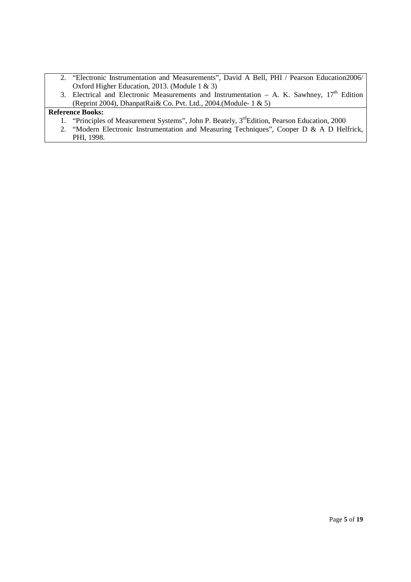- 2. "Electronic Instrumentation and Measurements", David A Bell, PHI / Pearson Education2006/ Oxford Higher Education, 2013. (Module 1 & 3)
- 3. Electrical and Electronic Measurements and Instrumentation A. K. Sawhney,  $17<sup>th</sup>$  Edition (Reprint 2004), DhanpatRai& Co. Pvt. Ltd., 2004.(Module- 1 & 5)

- 1. "Principles of Measurement Systems", John P. Beately, 3<sup>rd</sup>Edition, Pearson Education, 2000
- 2. "Modern Electronic Instrumentation and Measuring Techniques", Cooper D & A D Helfrick, PHI, 1998.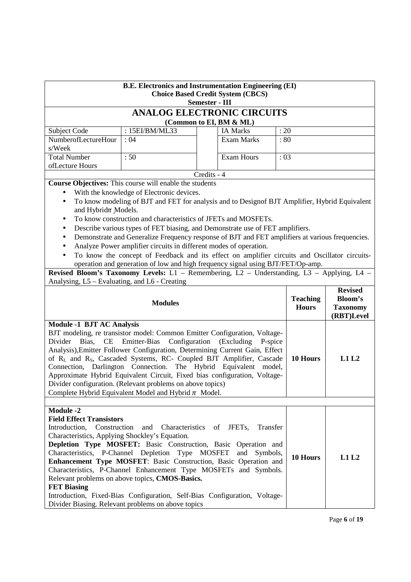| <b>B.E. Electronics and Instrumentation Engineering (EI)</b><br><b>Choice Based Credit System (CBCS)</b><br><b>Semester - III</b>                                                                                                                                                                                                                                                                                                                                                                 |                                                                                                                                                                                                                                                                                                                                                                                                                                                                                                                                                        |             |                                 |                                                                   |          |      |
|---------------------------------------------------------------------------------------------------------------------------------------------------------------------------------------------------------------------------------------------------------------------------------------------------------------------------------------------------------------------------------------------------------------------------------------------------------------------------------------------------|--------------------------------------------------------------------------------------------------------------------------------------------------------------------------------------------------------------------------------------------------------------------------------------------------------------------------------------------------------------------------------------------------------------------------------------------------------------------------------------------------------------------------------------------------------|-------------|---------------------------------|-------------------------------------------------------------------|----------|------|
|                                                                                                                                                                                                                                                                                                                                                                                                                                                                                                   | <b>ANALOG ELECTRONIC CIRCUITS</b>                                                                                                                                                                                                                                                                                                                                                                                                                                                                                                                      |             |                                 |                                                                   |          |      |
|                                                                                                                                                                                                                                                                                                                                                                                                                                                                                                   |                                                                                                                                                                                                                                                                                                                                                                                                                                                                                                                                                        |             | (Common to EI, BM & ML)         |                                                                   |          |      |
| Subject Code                                                                                                                                                                                                                                                                                                                                                                                                                                                                                      | : 15EI/BM/ML33                                                                                                                                                                                                                                                                                                                                                                                                                                                                                                                                         |             | <b>IA Marks</b>                 | : 20                                                              |          |      |
| NumberofLectureHour<br>s/Week                                                                                                                                                                                                                                                                                                                                                                                                                                                                     | :04                                                                                                                                                                                                                                                                                                                                                                                                                                                                                                                                                    |             | <b>Exam Marks</b>               | : 80                                                              |          |      |
| <b>Total Number</b>                                                                                                                                                                                                                                                                                                                                                                                                                                                                               | :50                                                                                                                                                                                                                                                                                                                                                                                                                                                                                                                                                    |             | <b>Exam Hours</b>               | :03                                                               |          |      |
| ofLecture Hours                                                                                                                                                                                                                                                                                                                                                                                                                                                                                   |                                                                                                                                                                                                                                                                                                                                                                                                                                                                                                                                                        |             |                                 |                                                                   |          |      |
|                                                                                                                                                                                                                                                                                                                                                                                                                                                                                                   |                                                                                                                                                                                                                                                                                                                                                                                                                                                                                                                                                        | Credits - 4 |                                 |                                                                   |          |      |
|                                                                                                                                                                                                                                                                                                                                                                                                                                                                                                   | <b>Course Objectives:</b> This course will enable the students                                                                                                                                                                                                                                                                                                                                                                                                                                                                                         |             |                                 |                                                                   |          |      |
|                                                                                                                                                                                                                                                                                                                                                                                                                                                                                                   | With the knowledge of Electronic devices.                                                                                                                                                                                                                                                                                                                                                                                                                                                                                                              |             |                                 |                                                                   |          |      |
| $\bullet$                                                                                                                                                                                                                                                                                                                                                                                                                                                                                         | To know modeling of BJT and FET for analysis and to Designof BJT Amplifier, Hybrid Equivalent                                                                                                                                                                                                                                                                                                                                                                                                                                                          |             |                                 |                                                                   |          |      |
| and Hybrid $\pi$ Models.                                                                                                                                                                                                                                                                                                                                                                                                                                                                          |                                                                                                                                                                                                                                                                                                                                                                                                                                                                                                                                                        |             |                                 |                                                                   |          |      |
| ٠                                                                                                                                                                                                                                                                                                                                                                                                                                                                                                 | To know construction and characteristics of JFETs and MOSFETs.                                                                                                                                                                                                                                                                                                                                                                                                                                                                                         |             |                                 |                                                                   |          |      |
| $\bullet$                                                                                                                                                                                                                                                                                                                                                                                                                                                                                         | Describe various types of FET biasing, and Demonstrate use of FET amplifiers.                                                                                                                                                                                                                                                                                                                                                                                                                                                                          |             |                                 |                                                                   |          |      |
| $\bullet$                                                                                                                                                                                                                                                                                                                                                                                                                                                                                         | Demonstrate and Generalize Frequency response of BJT and FET amplifiers at various frequencies.                                                                                                                                                                                                                                                                                                                                                                                                                                                        |             |                                 |                                                                   |          |      |
|                                                                                                                                                                                                                                                                                                                                                                                                                                                                                                   | Analyze Power amplifier circuits in different modes of operation.                                                                                                                                                                                                                                                                                                                                                                                                                                                                                      |             |                                 |                                                                   |          |      |
| $\bullet$                                                                                                                                                                                                                                                                                                                                                                                                                                                                                         | To know the concept of Feedback and its effect on amplifier circuits and Oscillator circuits-                                                                                                                                                                                                                                                                                                                                                                                                                                                          |             |                                 |                                                                   |          |      |
|                                                                                                                                                                                                                                                                                                                                                                                                                                                                                                   | operation and generation of low and high frequency signal using BJT/FET/Op-amp.                                                                                                                                                                                                                                                                                                                                                                                                                                                                        |             |                                 |                                                                   |          |      |
|                                                                                                                                                                                                                                                                                                                                                                                                                                                                                                   | Revised Bloom's Taxonomy Levels: L1 - Remembering, L2 - Understanding, L3 - Applying, L4 -                                                                                                                                                                                                                                                                                                                                                                                                                                                             |             |                                 |                                                                   |          |      |
| Analysing, L5 – Evaluating, and L6 - Creating                                                                                                                                                                                                                                                                                                                                                                                                                                                     |                                                                                                                                                                                                                                                                                                                                                                                                                                                                                                                                                        |             |                                 |                                                                   |          |      |
| <b>Modules</b>                                                                                                                                                                                                                                                                                                                                                                                                                                                                                    |                                                                                                                                                                                                                                                                                                                                                                                                                                                                                                                                                        |             | <b>Teaching</b><br><b>Hours</b> | <b>Revised</b><br><b>Bloom's</b><br><b>Taxonomy</b><br>(RBT)Level |          |      |
| <b>Module -1 BJT AC Analysis</b>                                                                                                                                                                                                                                                                                                                                                                                                                                                                  |                                                                                                                                                                                                                                                                                                                                                                                                                                                                                                                                                        |             |                                 |                                                                   |          |      |
| Divider Bias,<br><b>CE</b>                                                                                                                                                                                                                                                                                                                                                                                                                                                                        | BJT modeling, re transistor model: Common Emitter Configuration, Voltage-<br>Emitter-Bias<br>Configuration<br>Analysis), Emitter Follower Configuration, Determining Current Gain, Effect<br>of RL and R <sub>S</sub> , Cascaded Systems, RC- Coupled BJT Amplifier, Cascade<br>Connection, Darlington Connection. The Hybrid Equivalent model,<br>Approximate Hybrid Equivalent Circuit, Fixed bias configuration, Voltage-<br>Divider configuration. (Relevant problems on above topics)<br>Complete Hybrid Equivalent Model and Hybrid $\pi$ Model. |             | (Excluding<br>P-spice           |                                                                   | 10 Hours | L1L2 |
|                                                                                                                                                                                                                                                                                                                                                                                                                                                                                                   |                                                                                                                                                                                                                                                                                                                                                                                                                                                                                                                                                        |             |                                 |                                                                   |          |      |
| <b>Module -2</b><br><b>Field Effect Transistors</b><br>Introduction,<br>Construction                                                                                                                                                                                                                                                                                                                                                                                                              | Characteristics<br>and                                                                                                                                                                                                                                                                                                                                                                                                                                                                                                                                 | of          | JFET <sub>s</sub> ,<br>Transfer |                                                                   |          |      |
| Characteristics, Applying Shockley's Equation.<br>Depletion Type MOSFET: Basic Construction, Basic Operation and<br>Characteristics, P-Channel Depletion Type MOSFET<br>and<br>Symbols,<br>10 Hours<br>Enhancement Type MOSFET: Basic Construction, Basic Operation and<br>Characteristics, P-Channel Enhancement Type MOSFETs and Symbols.<br>Relevant problems on above topics, CMOS-Basics.<br><b>FET Biasing</b><br>Introduction, Fixed-Bias Configuration, Self-Bias Configuration, Voltage- |                                                                                                                                                                                                                                                                                                                                                                                                                                                                                                                                                        |             |                                 | L1L2                                                              |          |      |
|                                                                                                                                                                                                                                                                                                                                                                                                                                                                                                   | Divider Biasing. Relevant problems on above topics                                                                                                                                                                                                                                                                                                                                                                                                                                                                                                     |             |                                 |                                                                   |          |      |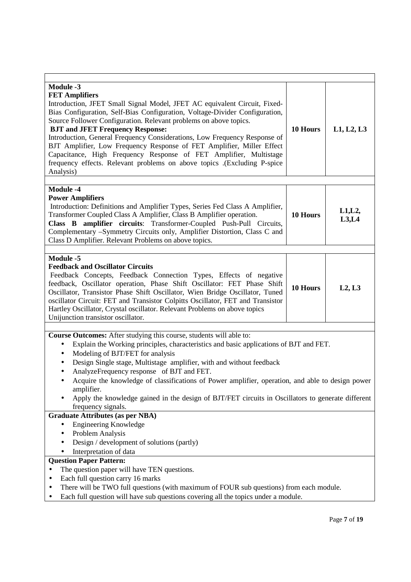| <b>Module -3</b><br><b>FET Amplifiers</b><br>Introduction, JFET Small Signal Model, JFET AC equivalent Circuit, Fixed-<br>Bias Configuration, Self-Bias Configuration, Voltage-Divider Configuration,<br>Source Follower Configuration. Relevant problems on above topics.<br><b>BJT and JFET Frequency Response:</b><br>Introduction, General Frequency Considerations, Low Frequency Response of<br>BJT Amplifier, Low Frequency Response of FET Amplifier, Miller Effect<br>Capacitance, High Frequency Response of FET Amplifier, Multistage<br>frequency effects. Relevant problems on above topics .(Excluding P-spice<br>Analysis) | 10 Hours | L1, L2, L3       |  |  |
|-------------------------------------------------------------------------------------------------------------------------------------------------------------------------------------------------------------------------------------------------------------------------------------------------------------------------------------------------------------------------------------------------------------------------------------------------------------------------------------------------------------------------------------------------------------------------------------------------------------------------------------------|----------|------------------|--|--|
|                                                                                                                                                                                                                                                                                                                                                                                                                                                                                                                                                                                                                                           |          |                  |  |  |
| <b>Module -4</b><br><b>Power Amplifiers</b><br>Introduction: Definitions and Amplifier Types, Series Fed Class A Amplifier,<br>Transformer Coupled Class A Amplifier, Class B Amplifier operation.<br>Class B amplifier circuits: Transformer-Coupled Push-Pull Circuits,<br>Complementary -Symmetry Circuits only, Amplifier Distortion, Class C and<br>Class D Amplifier. Relevant Problems on above topics.                                                                                                                                                                                                                            | 10 Hours | L1, L2,<br>L3,L4 |  |  |
|                                                                                                                                                                                                                                                                                                                                                                                                                                                                                                                                                                                                                                           |          |                  |  |  |
| Module -5<br><b>Feedback and Oscillator Circuits</b><br>Feedback Concepts, Feedback Connection Types, Effects of negative<br>feedback, Oscillator operation, Phase Shift Oscillator: FET Phase Shift<br>Oscillator, Transistor Phase Shift Oscillator, Wien Bridge Oscillator, Tuned<br>oscillator Circuit: FET and Transistor Colpitts Oscillator, FET and Transistor<br>Hartley Oscillator, Crystal oscillator. Relevant Problems on above topics<br>Unijunction transistor oscillator.                                                                                                                                                 | 10 Hours | L2, L3           |  |  |
|                                                                                                                                                                                                                                                                                                                                                                                                                                                                                                                                                                                                                                           |          |                  |  |  |
| Course Outcomes: After studying this course, students will able to:<br>Explain the Working principles, characteristics and basic applications of BJT and FET.<br>Modeling of BJT/FET for analysis<br>$\bullet$<br>Design Single stage, Multistage amplifier, with and without feedback<br>$\bullet$<br>AnalyzeFrequency response of BJT and FET.<br>$\bullet$<br>Acquire the knowledge of classifications of Power amplifier, operation, and able to design power<br>$\bullet$<br>amplifier.<br>Apply the knowledge gained in the design of BJT/FET circuits in Oscillators to generate different<br>frequency signals.                   |          |                  |  |  |
| <b>Graduate Attributes (as per NBA)</b>                                                                                                                                                                                                                                                                                                                                                                                                                                                                                                                                                                                                   |          |                  |  |  |
| <b>Engineering Knowledge</b><br>Problem Analysis<br>$\bullet$<br>Design / development of solutions (partly)<br>$\bullet$<br>Interpretation of data                                                                                                                                                                                                                                                                                                                                                                                                                                                                                        |          |                  |  |  |
| <b>Question Paper Pattern:</b>                                                                                                                                                                                                                                                                                                                                                                                                                                                                                                                                                                                                            |          |                  |  |  |
| The question paper will have TEN questions.<br>Each full question carry 16 marks<br>There will be TWO full questions (with maximum of FOUR sub questions) from each module.<br>Each full question will have sub questions covering all the topics under a module.                                                                                                                                                                                                                                                                                                                                                                         |          |                  |  |  |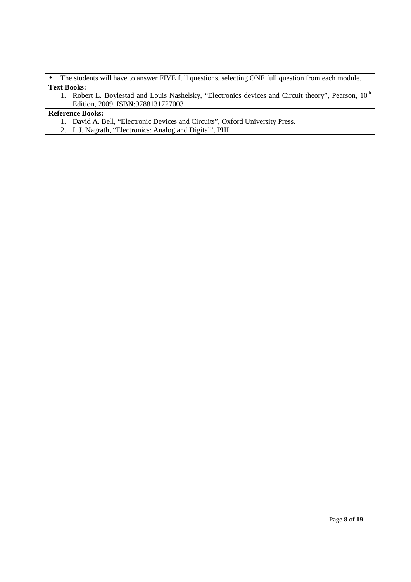• The students will have to answer FIVE full questions, selecting ONE full question from each module. **Text Books:** 

1. Robert L. Boylestad and Louis Nashelsky, "Electronics devices and Circuit theory", Pearson, 10<sup>th</sup> Edition, 2009, ISBN:9788131727003

- 1. David A. Bell, "Electronic Devices and Circuits", Oxford University Press.
- 2. I. J. Nagrath, "Electronics: Analog and Digital", PHI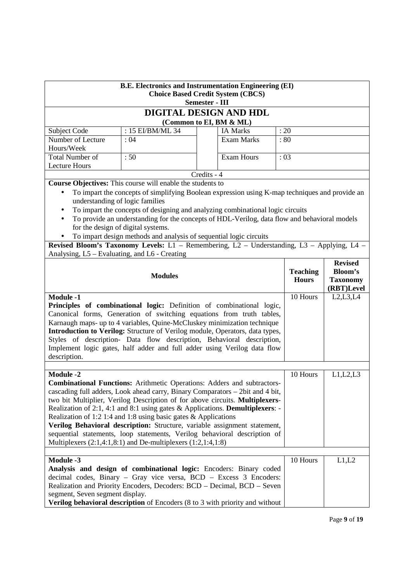| <b>B.E. Electronics and Instrumentation Engineering (EI)</b><br><b>Choice Based Credit System (CBCS)</b><br><b>Semester - III</b>                                                                                                                                                                                                                                                                                                                                                                                                                                                                                                                                    |                                                                                                                                                                                                                                                                                                                                                                                                                                                                                                                                                                 |             |                   |                                 |                                                            |
|----------------------------------------------------------------------------------------------------------------------------------------------------------------------------------------------------------------------------------------------------------------------------------------------------------------------------------------------------------------------------------------------------------------------------------------------------------------------------------------------------------------------------------------------------------------------------------------------------------------------------------------------------------------------|-----------------------------------------------------------------------------------------------------------------------------------------------------------------------------------------------------------------------------------------------------------------------------------------------------------------------------------------------------------------------------------------------------------------------------------------------------------------------------------------------------------------------------------------------------------------|-------------|-------------------|---------------------------------|------------------------------------------------------------|
|                                                                                                                                                                                                                                                                                                                                                                                                                                                                                                                                                                                                                                                                      | DIGITAL DESIGN AND HDL                                                                                                                                                                                                                                                                                                                                                                                                                                                                                                                                          |             |                   |                                 |                                                            |
| Subject Code                                                                                                                                                                                                                                                                                                                                                                                                                                                                                                                                                                                                                                                         | (Common to EI, BM & ML)<br>: 15 EI/BM/ML 34                                                                                                                                                                                                                                                                                                                                                                                                                                                                                                                     |             | <b>IA Marks</b>   | : 20                            |                                                            |
| Number of Lecture                                                                                                                                                                                                                                                                                                                                                                                                                                                                                                                                                                                                                                                    | :04                                                                                                                                                                                                                                                                                                                                                                                                                                                                                                                                                             |             | <b>Exam Marks</b> | :80                             |                                                            |
| Hours/Week                                                                                                                                                                                                                                                                                                                                                                                                                                                                                                                                                                                                                                                           |                                                                                                                                                                                                                                                                                                                                                                                                                                                                                                                                                                 |             |                   |                                 |                                                            |
| <b>Total Number of</b>                                                                                                                                                                                                                                                                                                                                                                                                                                                                                                                                                                                                                                               | :50                                                                                                                                                                                                                                                                                                                                                                                                                                                                                                                                                             |             | <b>Exam Hours</b> | :03                             |                                                            |
| <b>Lecture Hours</b>                                                                                                                                                                                                                                                                                                                                                                                                                                                                                                                                                                                                                                                 |                                                                                                                                                                                                                                                                                                                                                                                                                                                                                                                                                                 |             |                   |                                 |                                                            |
|                                                                                                                                                                                                                                                                                                                                                                                                                                                                                                                                                                                                                                                                      |                                                                                                                                                                                                                                                                                                                                                                                                                                                                                                                                                                 | Credits - 4 |                   |                                 |                                                            |
| $\bullet$<br>understanding of logic families<br>$\bullet$<br>$\bullet$                                                                                                                                                                                                                                                                                                                                                                                                                                                                                                                                                                                               | <b>Course Objectives:</b> This course will enable the students to<br>To impart the concepts of simplifying Boolean expression using K-map techniques and provide an<br>To impart the concepts of designing and analyzing combinational logic circuits<br>To provide an understanding for the concepts of HDL-Verilog, data flow and behavioral models<br>for the design of digital systems.<br>To impart design methods and analysis of sequential logic circuits<br>Revised Bloom's Taxonomy Levels: L1 - Remembering, L2 - Understanding, L3 - Applying, L4 - |             |                   |                                 |                                                            |
| Analysing, L5 – Evaluating, and L6 - Creating                                                                                                                                                                                                                                                                                                                                                                                                                                                                                                                                                                                                                        |                                                                                                                                                                                                                                                                                                                                                                                                                                                                                                                                                                 |             |                   |                                 |                                                            |
| <b>Modules</b>                                                                                                                                                                                                                                                                                                                                                                                                                                                                                                                                                                                                                                                       |                                                                                                                                                                                                                                                                                                                                                                                                                                                                                                                                                                 |             |                   | <b>Teaching</b><br><b>Hours</b> | <b>Revised</b><br>Bloom's<br><b>Taxonomy</b><br>(RBT)Level |
| <b>Module -1</b><br>Principles of combinational logic: Definition of combinational logic,<br>Canonical forms, Generation of switching equations from truth tables,<br>Karnaugh maps- up to 4 variables, Quine-McCluskey minimization technique<br>Introduction to Verilog: Structure of Verilog module, Operators, data types,<br>Styles of description- Data flow description, Behavioral description,<br>Implement logic gates, half adder and full adder using Verilog data flow<br>description.                                                                                                                                                                  |                                                                                                                                                                                                                                                                                                                                                                                                                                                                                                                                                                 |             |                   | 10 Hours                        | L2, L3, L4                                                 |
| <b>Module -2</b><br>10 Hours<br><b>Combinational Functions:</b> Arithmetic Operations: Adders and subtractors-<br>cascading full adders, Look ahead carry, Binary Comparators - 2bit and 4 bit,<br>two bit Multiplier, Verilog Description of for above circuits. Multiplexers-<br>Realization of 2:1, 4:1 and 8:1 using gates & Applications. Demultiplexers: -<br>Realization of 1:2 1:4 and 1:8 using basic gates $\&$ Applications<br>Verilog Behavioral description: Structure, variable assignment statement,<br>sequential statements, loop statements, Verilog behavioral description of<br>Multiplexers $(2:1,4:1,8:1)$ and De-multiplexers $(1:2,1:4,1:8)$ |                                                                                                                                                                                                                                                                                                                                                                                                                                                                                                                                                                 |             |                   |                                 | L1, L2, L3                                                 |
| <b>Module -3</b><br>segment, Seven segment display.                                                                                                                                                                                                                                                                                                                                                                                                                                                                                                                                                                                                                  | Analysis and design of combinational logic: Encoders: Binary coded<br>decimal codes, Binary - Gray vice versa, BCD - Excess 3 Encoders:<br>Realization and Priority Encoders, Decoders: BCD - Decimal, BCD - Seven<br>Verilog behavioral description of Encoders (8 to 3 with priority and without                                                                                                                                                                                                                                                              |             |                   | 10 Hours                        | L1,L2                                                      |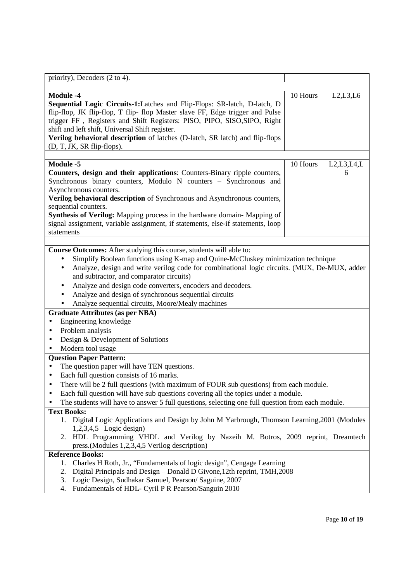| priority), Decoders (2 to 4).                                                                                                                                                                                                                                                                                                                                                                                                                                                                                                 |          |                                 |
|-------------------------------------------------------------------------------------------------------------------------------------------------------------------------------------------------------------------------------------------------------------------------------------------------------------------------------------------------------------------------------------------------------------------------------------------------------------------------------------------------------------------------------|----------|---------------------------------|
|                                                                                                                                                                                                                                                                                                                                                                                                                                                                                                                               |          |                                 |
| <b>Module -4</b><br>Sequential Logic Circuits-1:Latches and Flip-Flops: SR-latch, D-latch, D<br>flip-flop, JK flip-flop, T flip- flop Master slave FF, Edge trigger and Pulse<br>trigger FF, Registers and Shift Registers: PISO, PIPO, SISO, SIPO, Right<br>shift and left shift, Universal Shift register.<br>Verilog behavioral description of latches (D-latch, SR latch) and flip-flops<br>(D, T, JK, SR flip-flops).                                                                                                    | 10 Hours | L2, L3, L6                      |
|                                                                                                                                                                                                                                                                                                                                                                                                                                                                                                                               |          |                                 |
| Module -5<br>Counters, design and their applications: Counters-Binary ripple counters,<br>Synchronous binary counters, Modulo N counters - Synchronous and<br>Asynchronous counters.<br>Verilog behavioral description of Synchronous and Asynchronous counters,<br>sequential counters.<br>Synthesis of Verilog: Mapping process in the hardware domain-Mapping of<br>signal assignment, variable assignment, if statements, else-if statements, loop<br>statements                                                          | 10 Hours | $L2, L3, L4, \overline{L}$<br>6 |
|                                                                                                                                                                                                                                                                                                                                                                                                                                                                                                                               |          |                                 |
| Simplify Boolean functions using K-map and Quine-McCluskey minimization technique<br>٠<br>Analyze, design and write verilog code for combinational logic circuits. (MUX, De-MUX, adder<br>$\bullet$<br>and subtractor, and comparator circuits)<br>Analyze and design code converters, encoders and decoders.<br>٠<br>Analyze and design of synchronous sequential circuits<br>Analyze sequential circuits, Moore/Mealy machines<br><b>Graduate Attributes (as per NBA)</b><br>Engineering knowledge<br>٠<br>Problem analysis |          |                                 |
| Design & Development of Solutions<br>$\bullet$                                                                                                                                                                                                                                                                                                                                                                                                                                                                                |          |                                 |
| Modern tool usage                                                                                                                                                                                                                                                                                                                                                                                                                                                                                                             |          |                                 |
| <b>Question Paper Pattern:</b><br>The question paper will have TEN questions.<br>Each full question consists of 16 marks.<br>There will be 2 full questions (with maximum of FOUR sub questions) from each module.<br>Each full question will have sub questions covering all the topics under a module.<br>The students will have to answer 5 full questions, selecting one full question from each module.                                                                                                                  |          |                                 |
| <b>Text Books:</b>                                                                                                                                                                                                                                                                                                                                                                                                                                                                                                            |          |                                 |
| 1. Digital Logic Applications and Design by John M Yarbrough, Thomson Learning, 2001 (Modules<br>$1,2,3,4,5$ –Logic design)<br>HDL Programming VHDL and Verilog by Nazeih M. Botros, 2009 reprint, Dreamtech<br>2.<br>press.(Modules 1,2,3,4,5 Verilog description)                                                                                                                                                                                                                                                           |          |                                 |
| <b>Reference Books:</b>                                                                                                                                                                                                                                                                                                                                                                                                                                                                                                       |          |                                 |
| Charles H Roth, Jr., "Fundamentals of logic design", Cengage Learning<br>1.<br>Digital Principals and Design – Donald D Givone, 12th reprint, TMH, 2008<br>2.<br>Logic Design, Sudhakar Samuel, Pearson/Saguine, 2007<br>3.<br>Fundamentals of HDL- Cyril P R Pearson/Sanguin 2010<br>4.                                                                                                                                                                                                                                      |          |                                 |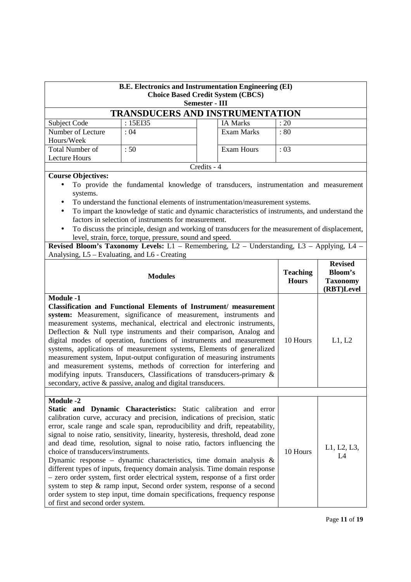| <b>B.E. Electronics and Instrumentation Engineering (EI)</b><br><b>Choice Based Credit System (CBCS)</b><br><b>Semester - III</b> |                                                                                                                                                                                                                                                                                                                                                                                                                                                                                                                                                                                                                                                                                                                                                                                                 |                                        |                                 |                                                                   |  |
|-----------------------------------------------------------------------------------------------------------------------------------|-------------------------------------------------------------------------------------------------------------------------------------------------------------------------------------------------------------------------------------------------------------------------------------------------------------------------------------------------------------------------------------------------------------------------------------------------------------------------------------------------------------------------------------------------------------------------------------------------------------------------------------------------------------------------------------------------------------------------------------------------------------------------------------------------|----------------------------------------|---------------------------------|-------------------------------------------------------------------|--|
|                                                                                                                                   |                                                                                                                                                                                                                                                                                                                                                                                                                                                                                                                                                                                                                                                                                                                                                                                                 | <b>TRANSDUCERS AND INSTRUMENTATION</b> |                                 |                                                                   |  |
| Subject Code                                                                                                                      | : 15EI35                                                                                                                                                                                                                                                                                                                                                                                                                                                                                                                                                                                                                                                                                                                                                                                        | <b>IA Marks</b>                        | : 20                            |                                                                   |  |
| Number of Lecture<br>Hours/Week                                                                                                   | :04                                                                                                                                                                                                                                                                                                                                                                                                                                                                                                                                                                                                                                                                                                                                                                                             | <b>Exam Marks</b>                      | :80                             |                                                                   |  |
| <b>Total Number of</b><br><b>Lecture Hours</b>                                                                                    | :50                                                                                                                                                                                                                                                                                                                                                                                                                                                                                                                                                                                                                                                                                                                                                                                             | <b>Exam Hours</b>                      | :03                             |                                                                   |  |
|                                                                                                                                   |                                                                                                                                                                                                                                                                                                                                                                                                                                                                                                                                                                                                                                                                                                                                                                                                 | Credits - 4                            |                                 |                                                                   |  |
| $\bullet$<br>systems.<br>Analysing, L5 - Evaluating, and L6 - Creating                                                            | <b>Course Objectives:</b><br>To provide the fundamental knowledge of transducers, instrumentation and measurement<br>To understand the functional elements of instrumentation/measurement systems.<br>To impart the knowledge of static and dynamic characteristics of instruments, and understand the<br>factors in selection of instruments for measurement.<br>To discuss the principle, design and working of transducers for the measurement of displacement,<br>level, strain, force, torque, pressure, sound and speed.<br>Revised Bloom's Taxonomy Levels: L1 - Remembering, L2 - Understanding, L3 - Applying, L4 -                                                                                                                                                                    |                                        |                                 |                                                                   |  |
|                                                                                                                                   | <b>Modules</b>                                                                                                                                                                                                                                                                                                                                                                                                                                                                                                                                                                                                                                                                                                                                                                                  |                                        | <b>Teaching</b><br><b>Hours</b> | <b>Revised</b><br><b>Bloom's</b><br><b>Taxonomy</b><br>(RBT)Level |  |
| <b>Module -1</b>                                                                                                                  | Classification and Functional Elements of Instrument/ measurement<br>system: Measurement, significance of measurement, instruments and<br>measurement systems, mechanical, electrical and electronic instruments,<br>Deflection & Null type instruments and their comparison, Analog and<br>digital modes of operation, functions of instruments and measurement<br>systems, applications of measurement systems, Elements of generalized<br>measurement system, Input-output configuration of measuring instruments<br>and measurement systems, methods of correction for interfering and<br>modifying inputs. Transducers, Classifications of transducers-primary &<br>secondary, active & passive, analog and digital transducers.                                                           |                                        | 10 Hours                        | L1, L2                                                            |  |
| <b>Module -2</b><br>choice of transducers/instruments.<br>of first and second order system.                                       | Static and Dynamic Characteristics: Static calibration and error<br>calibration curve, accuracy and precision, indications of precision, static<br>error, scale range and scale span, reproducibility and drift, repeatability,<br>signal to noise ratio, sensitivity, linearity, hysteresis, threshold, dead zone<br>and dead time, resolution, signal to noise ratio, factors influencing the<br>Dynamic response - dynamic characteristics, time domain analysis $\&$<br>different types of inputs, frequency domain analysis. Time domain response<br>- zero order system, first order electrical system, response of a first order<br>system to step & ramp input, Second order system, response of a second<br>order system to step input, time domain specifications, frequency response |                                        | 10 Hours                        | L1, L2, L3,<br>L4                                                 |  |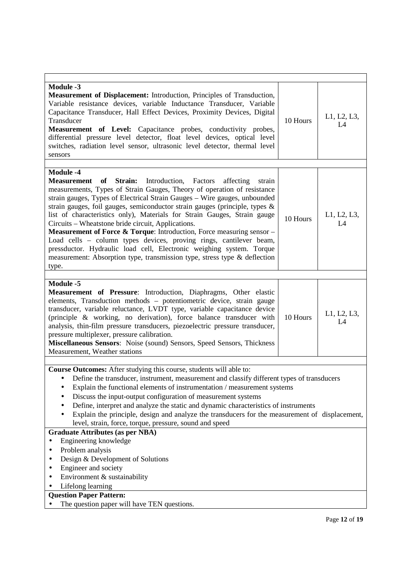| <b>Module -3</b><br><b>Measurement of Displacement:</b> Introduction, Principles of Transduction,<br>Variable resistance devices, variable Inductance Transducer, Variable<br>Capacitance Transducer, Hall Effect Devices, Proximity Devices, Digital<br>L1, L2, L3,<br>Transducer<br>10 Hours<br>L4<br>Measurement of Level: Capacitance probes, conductivity probes,<br>differential pressure level detector, float level devices, optical level<br>switches, radiation level sensor, ultrasonic level detector, thermal level<br>sensors                                                                                                                                                                                                                                                                          |  |  |  |  |
|----------------------------------------------------------------------------------------------------------------------------------------------------------------------------------------------------------------------------------------------------------------------------------------------------------------------------------------------------------------------------------------------------------------------------------------------------------------------------------------------------------------------------------------------------------------------------------------------------------------------------------------------------------------------------------------------------------------------------------------------------------------------------------------------------------------------|--|--|--|--|
|                                                                                                                                                                                                                                                                                                                                                                                                                                                                                                                                                                                                                                                                                                                                                                                                                      |  |  |  |  |
| <b>Module -4</b><br>Measurement of<br>Strain:<br>Introduction, Factors<br>affecting<br>strain<br>measurements, Types of Strain Gauges, Theory of operation of resistance<br>strain gauges, Types of Electrical Strain Gauges - Wire gauges, unbounded<br>strain gauges, foil gauges, semiconductor strain gauges (principle, types &<br>list of characteristics only), Materials for Strain Gauges, Strain gauge<br>L1, L2, L3,<br>10 Hours<br>Circuits – Wheatstone bride circuit, Applications.<br>L4<br>Measurement of Force & Torque: Introduction, Force measuring sensor -<br>Load cells - column types devices, proving rings, cantilever beam,<br>pressductor. Hydraulic load cell, Electronic weighing system. Torque<br>measurement: Absorption type, transmission type, stress type & deflection<br>type. |  |  |  |  |
|                                                                                                                                                                                                                                                                                                                                                                                                                                                                                                                                                                                                                                                                                                                                                                                                                      |  |  |  |  |
| <b>Module -5</b><br>Measurement of Pressure: Introduction, Diaphragms, Other elastic<br>elements, Transduction methods - potentiometric device, strain gauge<br>transducer, variable reluctance, LVDT type, variable capacitance device<br>L1, L2, L3,<br>(principle & working, no derivation), force balance transducer with<br>10 Hours<br>L4<br>analysis, thin-film pressure transducers, piezoelectric pressure transducer,<br>pressure multiplexer, pressure calibration.<br>Miscellaneous Sensors: Noise (sound) Sensors, Speed Sensors, Thickness<br>Measurement, Weather stations                                                                                                                                                                                                                            |  |  |  |  |
|                                                                                                                                                                                                                                                                                                                                                                                                                                                                                                                                                                                                                                                                                                                                                                                                                      |  |  |  |  |
| Course Outcomes: After studying this course, students will able to:<br>Define the transducer, instrument, measurement and classify different types of transducers<br>Explain the functional elements of instrumentation / measurement systems<br>Discuss the input-output configuration of measurement systems<br>Define, interpret and analyze the static and dynamic characteristics of instruments<br>Explain the principle, design and analyze the transducers for the measurement of displacement,<br>level, strain, force, torque, pressure, sound and speed                                                                                                                                                                                                                                                   |  |  |  |  |
| <b>Graduate Attributes (as per NBA)</b>                                                                                                                                                                                                                                                                                                                                                                                                                                                                                                                                                                                                                                                                                                                                                                              |  |  |  |  |
| Engineering knowledge<br>Problem analysis<br>Design & Development of Solutions<br>Engineer and society<br>Environment & sustainability<br>Lifelong learning                                                                                                                                                                                                                                                                                                                                                                                                                                                                                                                                                                                                                                                          |  |  |  |  |
| <b>Question Paper Pattern:</b>                                                                                                                                                                                                                                                                                                                                                                                                                                                                                                                                                                                                                                                                                                                                                                                       |  |  |  |  |
| The question paper will have TEN questions.                                                                                                                                                                                                                                                                                                                                                                                                                                                                                                                                                                                                                                                                                                                                                                          |  |  |  |  |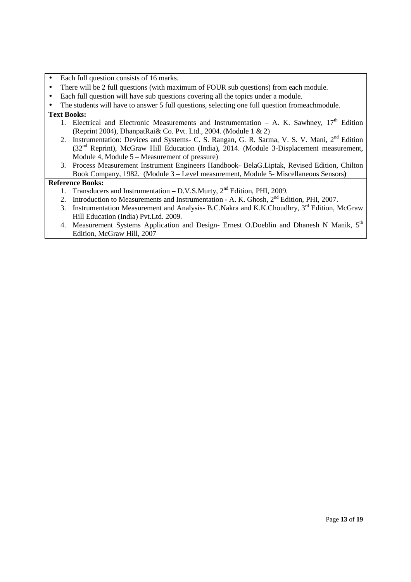- Each full question consists of 16 marks.
- There will be 2 full questions (with maximum of FOUR sub questions) from each module.
- Each full question will have sub questions covering all the topics under a module.
- The students will have to answer 5 full questions, selecting one full question fromeachmodule.

#### **Text Books:**

- 1. Electrical and Electronic Measurements and Instrumentation A. K. Sawhney,  $17<sup>th</sup>$  Edition (Reprint 2004), DhanpatRai& Co. Pvt. Ltd., 2004. (Module 1 & 2)
- 2. Instrumentation: Devices and Systems- C. S. Rangan, G. R. Sarma, V. S. V. Mani, 2<sup>nd</sup> Edition (32nd Reprint), McGraw Hill Education (India), 2014. (Module 3-Displacement measurement, Module 4, Module 5 – Measurement of pressure)
- 3. Process Measurement Instrument Engineers Handbook- BelaG.Liptak, Revised Edition, Chilton Book Company, 1982. (Module 3 – Level measurement, Module 5- Miscellaneous Sensors**)**

- 1. Transducers and Instrumentation D.V.S.Murty, 2<sup>nd</sup> Edition, PHI, 2009.
- 2. Introduction to Measurements and Instrumentation A. K. Ghosh,  $2<sup>nd</sup>$  Edition, PHI, 2007.
- 3. Instrumentation Measurement and Analysis- B.C.Nakra and K.K.Choudhry,  $3<sup>rd</sup>$  Edition, McGraw Hill Education (India) Pvt.Ltd. 2009.
- 4. Measurement Systems Application and Design- Ernest O.Doeblin and Dhanesh N Manik, 5<sup>th</sup> Edition, McGraw Hill, 2007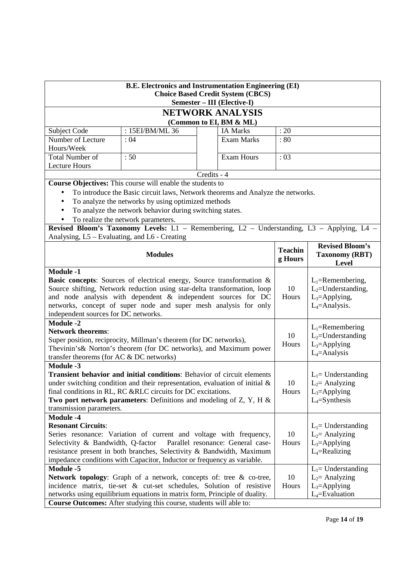| <b>B.E. Electronics and Instrumentation Engineering (EI)</b><br><b>Choice Based Credit System (CBCS)</b><br>Semester - III (Elective-I)                                                                                                                                                                                                                 |                                                                                                    |             |                         |                           |                                                                                      |  |  |
|---------------------------------------------------------------------------------------------------------------------------------------------------------------------------------------------------------------------------------------------------------------------------------------------------------------------------------------------------------|----------------------------------------------------------------------------------------------------|-------------|-------------------------|---------------------------|--------------------------------------------------------------------------------------|--|--|
|                                                                                                                                                                                                                                                                                                                                                         |                                                                                                    |             | NETWORK ANALYSIS        |                           |                                                                                      |  |  |
|                                                                                                                                                                                                                                                                                                                                                         |                                                                                                    |             | (Common to EI, BM & ML) |                           |                                                                                      |  |  |
| : 15EI/BM/ML 36<br>: 20<br>Subject Code<br><b>IA Marks</b>                                                                                                                                                                                                                                                                                              |                                                                                                    |             |                         |                           |                                                                                      |  |  |
| Number of Lecture                                                                                                                                                                                                                                                                                                                                       | : 04                                                                                               |             | <b>Exam Marks</b>       | :80                       |                                                                                      |  |  |
| Hours/Week                                                                                                                                                                                                                                                                                                                                              |                                                                                                    |             |                         |                           |                                                                                      |  |  |
| <b>Total Number of</b>                                                                                                                                                                                                                                                                                                                                  | :50                                                                                                |             | <b>Exam Hours</b>       | :03                       |                                                                                      |  |  |
| <b>Lecture Hours</b>                                                                                                                                                                                                                                                                                                                                    |                                                                                                    |             |                         |                           |                                                                                      |  |  |
|                                                                                                                                                                                                                                                                                                                                                         |                                                                                                    | Credits - 4 |                         |                           |                                                                                      |  |  |
| Course Objectives: This course will enable the students to                                                                                                                                                                                                                                                                                              |                                                                                                    |             |                         |                           |                                                                                      |  |  |
| $\bullet$                                                                                                                                                                                                                                                                                                                                               | To introduce the Basic circuit laws, Network theorems and Analyze the networks.                    |             |                         |                           |                                                                                      |  |  |
| $\bullet$                                                                                                                                                                                                                                                                                                                                               | To analyze the networks by using optimized methods                                                 |             |                         |                           |                                                                                      |  |  |
| $\bullet$                                                                                                                                                                                                                                                                                                                                               | To analyze the network behavior during switching states.                                           |             |                         |                           |                                                                                      |  |  |
|                                                                                                                                                                                                                                                                                                                                                         | To realize the network parameters.                                                                 |             |                         |                           |                                                                                      |  |  |
| Revised Bloom's Taxonomy Levels: L1 - Remembering, L2 - Understanding, L3 - Applying, L4 -                                                                                                                                                                                                                                                              |                                                                                                    |             |                         |                           |                                                                                      |  |  |
| Analysing, L5 – Evaluating, and L6 - Creating                                                                                                                                                                                                                                                                                                           |                                                                                                    |             |                         |                           |                                                                                      |  |  |
|                                                                                                                                                                                                                                                                                                                                                         | <b>Modules</b>                                                                                     |             |                         | <b>Teachin</b><br>g Hours | <b>Revised Bloom's</b><br><b>Taxonomy (RBT)</b><br><b>Level</b>                      |  |  |
| <b>Module -1</b>                                                                                                                                                                                                                                                                                                                                        |                                                                                                    |             |                         |                           |                                                                                      |  |  |
| Basic concepts: Sources of electrical energy, Source transformation &<br>Source shifting, Network reduction using star-delta transformation, loop<br>and node analysis with dependent & independent sources for DC<br>networks, concept of super node and super mesh analysis for only<br>independent sources for DC networks.                          |                                                                                                    |             |                         | 10<br>Hours               | $L_1$ =Remembering,<br>$L_2$ =Understanding,<br>$L_3$ =Applying,<br>$L_4$ =Analysis. |  |  |
| <b>Module -2</b>                                                                                                                                                                                                                                                                                                                                        |                                                                                                    |             |                         |                           |                                                                                      |  |  |
| <b>Network theorems:</b><br>10<br>Super position, reciprocity, Millman's theorem (for DC networks),<br>Hours<br>Thevinin's & Norton's theorem (for DC networks), and Maximum power<br>transfer theorems (for AC & DC networks)                                                                                                                          |                                                                                                    |             |                         |                           | $L_1$ =Remembering<br>$L_2$ =Understanding<br>$L_3$ =Applying<br>$L_4$ =Analysis     |  |  |
| <b>Module -3</b><br>Transient behavior and initial conditions: Behavior of circuit elements<br>under switching condition and their representation, evaluation of initial $\&$<br>final conditions in RL, RC &RLC circuits for DC excitations.<br>Two port network parameters: Definitions and modeling of $Z$ , $Y$ , $H$ &<br>transmission parameters. |                                                                                                    |             |                         | 10<br>Hours               | $L_1$ = Understanding<br>$L_2$ = Analyzing<br>$L_3$ =Applying<br>$L_4 = Symthesis$   |  |  |
| <b>Module -4</b>                                                                                                                                                                                                                                                                                                                                        |                                                                                                    |             |                         |                           |                                                                                      |  |  |
| <b>Resonant Circuits:</b>                                                                                                                                                                                                                                                                                                                               |                                                                                                    |             |                         |                           | $L_1$ = Understanding                                                                |  |  |
| 10<br>Series resonance: Variation of current and voltage with frequency,<br>$L_2$ = Analyzing                                                                                                                                                                                                                                                           |                                                                                                    |             |                         |                           |                                                                                      |  |  |
|                                                                                                                                                                                                                                                                                                                                                         | Selectivity & Bandwidth, Q-factor<br>Parallel resonance: General case-<br>Hours<br>$L_3$ =Applying |             |                         |                           |                                                                                      |  |  |
| resistance present in both branches, Selectivity & Bandwidth, Maximum                                                                                                                                                                                                                                                                                   |                                                                                                    |             |                         |                           | $L_4$ =Realizing                                                                     |  |  |
|                                                                                                                                                                                                                                                                                                                                                         | impedance conditions with Capacitor, Inductor or frequency as variable.                            |             |                         |                           |                                                                                      |  |  |
| <b>Module -5</b>                                                                                                                                                                                                                                                                                                                                        |                                                                                                    |             |                         |                           | $L_1$ = Understanding                                                                |  |  |
| Network topology: Graph of a network, concepts of: tree & co-tree,<br>incidence matrix, tie-set & cut-set schedules, Solution of resistive<br>networks using equilibrium equations in matrix form, Principle of duality.<br>Course Outcomes: After studying this course, students will able to:                                                         |                                                                                                    |             |                         | 10<br>Hours               | $L_2$ = Analyzing<br>$L_3$ =Applying<br>$L_4$ =Evaluation                            |  |  |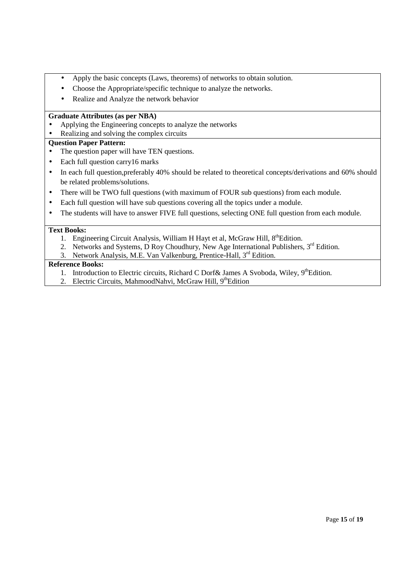- Apply the basic concepts (Laws, theorems) of networks to obtain solution.
- Choose the Appropriate/specific technique to analyze the networks.
- Realize and Analyze the network behavior

## **Graduate Attributes (as per NBA)**

- Applying the Engineering concepts to analyze the networks
- Realizing and solving the complex circuits

## **Question Paper Pattern:**

- The question paper will have TEN questions.
- Each full question carry16 marks
- In each full question, preferably 40% should be related to theoretical concepts/derivations and 60% should be related problems/solutions.
- There will be TWO full questions (with maximum of FOUR sub questions) from each module.
- Each full question will have sub questions covering all the topics under a module.
- The students will have to answer FIVE full questions, selecting ONE full question from each module.

## **Text Books:**

- 1. Engineering Circuit Analysis, William H Hayt et al, McGraw Hill,  $8<sup>th</sup>$ Edition.
- 2. Networks and Systems, D Roy Choudhury, New Age International Publishers, 3<sup>rd</sup> Edition.
- 3. Network Analysis, M.E. Van Valkenburg, Prentice-Hall, 3<sup>rd</sup> Edition.

- 1. Introduction to Electric circuits, Richard C Dorf & James A Svoboda, Wiley, 9<sup>th</sup>Edition.
- 2. Electric Circuits, MahmoodNahvi, McGraw Hill, 9<sup>th</sup>Edition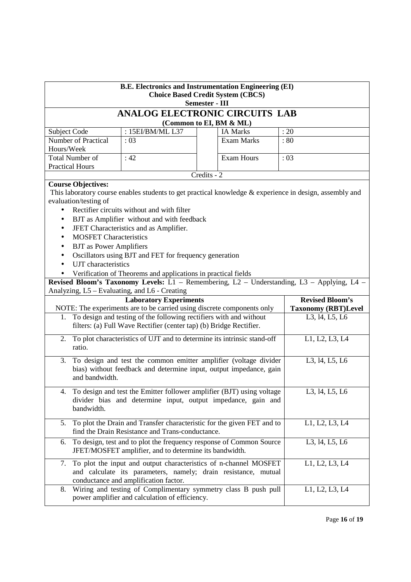| <b>B.E. Electronics and Instrumentation Engineering (EI)</b><br><b>Choice Based Credit System (CBCS)</b><br><b>Semester - III</b>                                                                                                                                       |                                                                                                                                                                                                                                                                                               |  |                            |                                                                                                         |  |  |  |  |
|-------------------------------------------------------------------------------------------------------------------------------------------------------------------------------------------------------------------------------------------------------------------------|-----------------------------------------------------------------------------------------------------------------------------------------------------------------------------------------------------------------------------------------------------------------------------------------------|--|----------------------------|---------------------------------------------------------------------------------------------------------|--|--|--|--|
| ANALOG ELECTRONIC CIRCUITS LAB                                                                                                                                                                                                                                          |                                                                                                                                                                                                                                                                                               |  |                            |                                                                                                         |  |  |  |  |
| (Common to EI, BM & ML)                                                                                                                                                                                                                                                 |                                                                                                                                                                                                                                                                                               |  |                            |                                                                                                         |  |  |  |  |
| Subject Code                                                                                                                                                                                                                                                            | : 15EI/BM/ML L37                                                                                                                                                                                                                                                                              |  | <b>IA Marks</b>            | : 20                                                                                                    |  |  |  |  |
| Number of Practical                                                                                                                                                                                                                                                     | :03                                                                                                                                                                                                                                                                                           |  | <b>Exam Marks</b>          | :80                                                                                                     |  |  |  |  |
| Hours/Week                                                                                                                                                                                                                                                              |                                                                                                                                                                                                                                                                                               |  |                            |                                                                                                         |  |  |  |  |
| Total Number of                                                                                                                                                                                                                                                         | : 42                                                                                                                                                                                                                                                                                          |  | <b>Exam Hours</b>          | :03                                                                                                     |  |  |  |  |
|                                                                                                                                                                                                                                                                         | <b>Practical Hours</b><br>$Credits - 2$                                                                                                                                                                                                                                                       |  |                            |                                                                                                         |  |  |  |  |
| <b>Course Objectives:</b><br>evaluation/testing of<br>$\bullet$<br>$\bullet$                                                                                                                                                                                            | Rectifier circuits without and with filter<br>BJT as Amplifier without and with feedback<br>JFET Characteristics and as Amplifier.<br><b>MOSFET Characteristics</b><br><b>BJT</b> as Power Amplifiers<br>Oscillators using BJT and FET for frequency generation<br><b>UJT</b> characteristics |  |                            | This laboratory course enables students to get practical knowledge & experience in design, assembly and |  |  |  |  |
| Verification of Theorems and applications in practical fields<br>Revised Bloom's Taxonomy Levels: L1 - Remembering, L2 - Understanding, L3 - Applying, L4 -<br>Analyzing, L5 - Evaluating, and L6 - Creating<br><b>Revised Bloom's</b><br><b>Laboratory Experiments</b> |                                                                                                                                                                                                                                                                                               |  |                            |                                                                                                         |  |  |  |  |
| NOTE: The experiments are to be carried using discrete components only                                                                                                                                                                                                  |                                                                                                                                                                                                                                                                                               |  | <b>Taxonomy (RBT)Level</b> |                                                                                                         |  |  |  |  |
|                                                                                                                                                                                                                                                                         | 1. To design and testing of the following rectifiers with and without<br>L3, 14, L5, L6<br>filters: (a) Full Wave Rectifier (center tap) (b) Bridge Rectifier.                                                                                                                                |  |                            |                                                                                                         |  |  |  |  |
| 2.<br>ratio.                                                                                                                                                                                                                                                            | To plot characteristics of UJT and to determine its intrinsic stand-off<br>L1, L2, L3, L4                                                                                                                                                                                                     |  |                            |                                                                                                         |  |  |  |  |
| To design and test the common emitter amplifier (voltage divider<br>L3, 14, L5, L6<br>3.<br>bias) without feedback and determine input, output impedance, gain<br>and bandwidth.                                                                                        |                                                                                                                                                                                                                                                                                               |  |                            |                                                                                                         |  |  |  |  |
|                                                                                                                                                                                                                                                                         | 4. To design and test the Emitter follower amplifier (BJT) using voltage<br>L3, 14, L5, L6<br>divider bias and determine input, output impedance, gain and<br>bandwidth.                                                                                                                      |  |                            |                                                                                                         |  |  |  |  |
|                                                                                                                                                                                                                                                                         | 5. To plot the Drain and Transfer characteristic for the given FET and to<br>L1, L2, L3, L4<br>find the Drain Resistance and Trans-conductance.                                                                                                                                               |  |                            |                                                                                                         |  |  |  |  |
| 6.                                                                                                                                                                                                                                                                      | To design, test and to plot the frequency response of Common Source<br>JFET/MOSFET amplifier, and to determine its bandwidth.                                                                                                                                                                 |  |                            | L3, 14, L5, L6                                                                                          |  |  |  |  |
| 7.                                                                                                                                                                                                                                                                      | To plot the input and output characteristics of n-channel MOSFET<br>L1, L2, L3, L4<br>and calculate its parameters, namely; drain resistance, mutual<br>conductance and amplification factor.                                                                                                 |  |                            |                                                                                                         |  |  |  |  |
| 8.                                                                                                                                                                                                                                                                      | Wiring and testing of Complimentary symmetry class B push pull<br>power amplifier and calculation of efficiency.                                                                                                                                                                              |  |                            | L1, L2, L3, L4                                                                                          |  |  |  |  |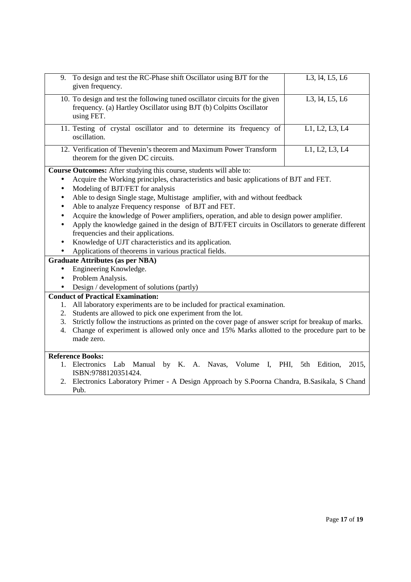| 9.        | To design and test the RC-Phase shift Oscillator using BJT for the<br>given frequency.                                                                            | L3, 14, L5, L6    |  |  |  |  |
|-----------|-------------------------------------------------------------------------------------------------------------------------------------------------------------------|-------------------|--|--|--|--|
|           | 10. To design and test the following tuned oscillator circuits for the given<br>frequency. (a) Hartley Oscillator using BJT (b) Colpitts Oscillator<br>using FET. | L3, 14, L5, L6    |  |  |  |  |
|           | 11. Testing of crystal oscillator and to determine its frequency of<br>oscillation.                                                                               | L1, L2, L3, L4    |  |  |  |  |
|           | 12. Verification of Thevenin's theorem and Maximum Power Transform<br>theorem for the given DC circuits.                                                          | L1, L2, L3, L4    |  |  |  |  |
|           | Course Outcomes: After studying this course, students will able to:                                                                                               |                   |  |  |  |  |
|           |                                                                                                                                                                   |                   |  |  |  |  |
| $\bullet$ | Acquire the Working principles, characteristics and basic applications of BJT and FET.                                                                            |                   |  |  |  |  |
|           | Modeling of BJT/FET for analysis                                                                                                                                  |                   |  |  |  |  |
|           | Able to design Single stage, Multistage amplifier, with and without feedback                                                                                      |                   |  |  |  |  |
|           | Able to analyze Frequency response of BJT and FET.                                                                                                                |                   |  |  |  |  |
|           | Acquire the knowledge of Power amplifiers, operation, and able to design power amplifier.                                                                         |                   |  |  |  |  |
|           | Apply the knowledge gained in the design of BJT/FET circuits in Oscillators to generate different                                                                 |                   |  |  |  |  |
|           | frequencies and their applications.                                                                                                                               |                   |  |  |  |  |
|           | Knowledge of UJT characteristics and its application.                                                                                                             |                   |  |  |  |  |
|           | Applications of theorems in various practical fields.                                                                                                             |                   |  |  |  |  |
|           | <b>Graduate Attributes (as per NBA)</b>                                                                                                                           |                   |  |  |  |  |
| $\bullet$ | Engineering Knowledge.                                                                                                                                            |                   |  |  |  |  |
| $\bullet$ | Problem Analysis.                                                                                                                                                 |                   |  |  |  |  |
|           | Design / development of solutions (partly)                                                                                                                        |                   |  |  |  |  |
|           | <b>Conduct of Practical Examination:</b>                                                                                                                          |                   |  |  |  |  |
| 1.        | All laboratory experiments are to be included for practical examination.                                                                                          |                   |  |  |  |  |
| 2.        | Students are allowed to pick one experiment from the lot.                                                                                                         |                   |  |  |  |  |
| 3.        | Strictly follow the instructions as printed on the cover page of answer script for breakup of marks.                                                              |                   |  |  |  |  |
| 4.        | Change of experiment is allowed only once and 15% Marks allotted to the procedure part to be                                                                      |                   |  |  |  |  |
|           | made zero.                                                                                                                                                        |                   |  |  |  |  |
|           | <b>Reference Books:</b>                                                                                                                                           |                   |  |  |  |  |
|           | Manual by K. A. Navas, Volume I, PHI, 5th<br>1. Electronics<br>Lab                                                                                                | 2015,<br>Edition, |  |  |  |  |
|           | ISBN:9788120351424.                                                                                                                                               |                   |  |  |  |  |
| 2.        | Electronics Laboratory Primer - A Design Approach by S.Poorna Chandra, B.Sasikala, S Chand                                                                        |                   |  |  |  |  |
|           | Pub.                                                                                                                                                              |                   |  |  |  |  |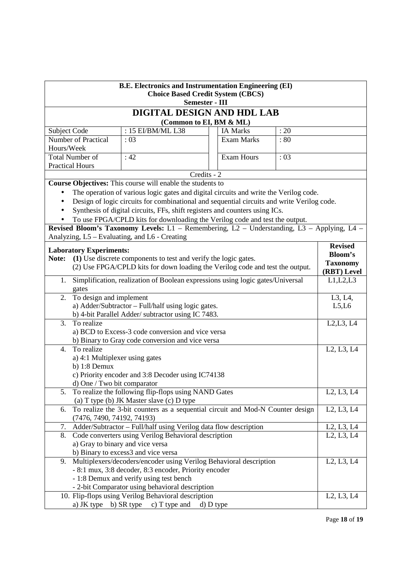| <b>B.E. Electronics and Instrumentation Engineering (EI)</b><br><b>Choice Based Credit System (CBCS)</b><br>Semester - III |                                                                                         |                                                                                            |             |                 |                                                  |                                                  |  |  |
|----------------------------------------------------------------------------------------------------------------------------|-----------------------------------------------------------------------------------------|--------------------------------------------------------------------------------------------|-------------|-----------------|--------------------------------------------------|--------------------------------------------------|--|--|
|                                                                                                                            | DIGITAL DESIGN AND HDL LAB<br>(Common to EI, BM & ML)                                   |                                                                                            |             |                 |                                                  |                                                  |  |  |
|                                                                                                                            |                                                                                         |                                                                                            |             |                 |                                                  |                                                  |  |  |
| Subject Code                                                                                                               |                                                                                         | : 15 EI/BM/ML L38                                                                          |             | <b>IA Marks</b> | : 20                                             |                                                  |  |  |
|                                                                                                                            | Number of Practical<br>: 03<br>Exam Marks<br>:80                                        |                                                                                            |             |                 |                                                  |                                                  |  |  |
|                                                                                                                            | Hours/Week                                                                              |                                                                                            |             |                 |                                                  |                                                  |  |  |
|                                                                                                                            | <b>Total Number of</b><br><b>Exam Hours</b><br>:42<br>:03                               |                                                                                            |             |                 |                                                  |                                                  |  |  |
|                                                                                                                            | <b>Practical Hours</b>                                                                  |                                                                                            |             |                 |                                                  |                                                  |  |  |
|                                                                                                                            |                                                                                         |                                                                                            | Credits - 2 |                 |                                                  |                                                  |  |  |
|                                                                                                                            |                                                                                         | Course Objectives: This course will enable the students to                                 |             |                 |                                                  |                                                  |  |  |
|                                                                                                                            |                                                                                         | The operation of various logic gates and digital circuits and write the Verilog code.      |             |                 |                                                  |                                                  |  |  |
| $\bullet$                                                                                                                  |                                                                                         | Design of logic circuits for combinational and sequential circuits and write Verilog code. |             |                 |                                                  |                                                  |  |  |
|                                                                                                                            |                                                                                         | Synthesis of digital circuits, FFs, shift registers and counters using ICs.                |             |                 |                                                  |                                                  |  |  |
|                                                                                                                            |                                                                                         | To use FPGA/CPLD kits for downloading the Verilog code and test the output.                |             |                 |                                                  |                                                  |  |  |
|                                                                                                                            |                                                                                         | Revised Bloom's Taxonomy Levels: L1 - Remembering, L2 - Understanding, L3 - Applying, L4 - |             |                 |                                                  |                                                  |  |  |
|                                                                                                                            |                                                                                         | Analyzing, L5 – Evaluating, and L6 - Creating                                              |             |                 |                                                  |                                                  |  |  |
|                                                                                                                            | <b>Laboratory Experiments:</b>                                                          |                                                                                            |             |                 |                                                  | <b>Revised</b>                                   |  |  |
| Note:                                                                                                                      |                                                                                         | (1) Use discrete components to test and verify the logic gates.                            |             |                 |                                                  | <b>Bloom's</b>                                   |  |  |
|                                                                                                                            |                                                                                         | (2) Use FPGA/CPLD kits for down loading the Verilog code and test the output.              |             |                 |                                                  | <b>Taxonomy</b>                                  |  |  |
|                                                                                                                            |                                                                                         |                                                                                            |             |                 |                                                  | (RBT) Level                                      |  |  |
| 1.                                                                                                                         | Simplification, realization of Boolean expressions using logic gates/Universal<br>gates |                                                                                            |             |                 | L1, L2, L3                                       |                                                  |  |  |
| 2.                                                                                                                         | To design and implement                                                                 |                                                                                            |             |                 |                                                  | L3, L4,                                          |  |  |
|                                                                                                                            |                                                                                         | a) Adder/Subtractor - Full/half using logic gates.                                         |             |                 |                                                  | L5, L6                                           |  |  |
| b) 4-bit Parallel Adder/ subtractor using IC 7483.                                                                         |                                                                                         |                                                                                            |             |                 |                                                  |                                                  |  |  |
| 3.                                                                                                                         | To realize                                                                              |                                                                                            |             |                 |                                                  | L2, L3, L4                                       |  |  |
|                                                                                                                            |                                                                                         | a) BCD to Excess-3 code conversion and vice versa                                          |             |                 |                                                  |                                                  |  |  |
|                                                                                                                            | b) Binary to Gray code conversion and vice versa                                        |                                                                                            |             |                 |                                                  |                                                  |  |  |
| To realize<br>4.                                                                                                           |                                                                                         |                                                                                            |             |                 | L <sub>2</sub> , L <sub>3</sub> , L <sub>4</sub> |                                                  |  |  |
|                                                                                                                            | a) 4:1 Multiplexer using gates                                                          |                                                                                            |             |                 |                                                  |                                                  |  |  |
|                                                                                                                            | b) $1:8$ Demux                                                                          |                                                                                            |             |                 |                                                  |                                                  |  |  |
|                                                                                                                            |                                                                                         | c) Priority encoder and 3:8 Decoder using IC74138                                          |             |                 |                                                  |                                                  |  |  |
|                                                                                                                            | d) One / Two bit comparator                                                             |                                                                                            |             |                 |                                                  |                                                  |  |  |
|                                                                                                                            |                                                                                         | 5. To realize the following flip-flops using NAND Gates                                    |             |                 |                                                  | L <sub>2</sub> , L <sub>3</sub> , L <sub>4</sub> |  |  |
|                                                                                                                            |                                                                                         | (a) T type (b) JK Master slave (c) D type                                                  |             |                 |                                                  |                                                  |  |  |
| 6.                                                                                                                         |                                                                                         | To realize the 3-bit counters as a sequential circuit and Mod-N Counter design             |             |                 |                                                  | L <sub>2</sub> , L <sub>3</sub> , L <sub>4</sub> |  |  |
|                                                                                                                            | (7476, 7490, 74192, 74193)                                                              |                                                                                            |             |                 |                                                  |                                                  |  |  |
|                                                                                                                            | Adder/Subtractor - Full/half using Verilog data flow description<br>7.                  |                                                                                            |             |                 | L <sub>2</sub> , L <sub>3</sub> , L <sub>4</sub> |                                                  |  |  |
|                                                                                                                            | 8.<br>Code converters using Verilog Behavioral description                              |                                                                                            |             |                 |                                                  | L2, L3, L4                                       |  |  |
|                                                                                                                            |                                                                                         | a) Gray to binary and vice versa                                                           |             |                 |                                                  |                                                  |  |  |
|                                                                                                                            |                                                                                         | b) Binary to excess3 and vice versa                                                        |             |                 |                                                  | L <sub>2</sub> , L <sub>3</sub> , L <sub>4</sub> |  |  |
|                                                                                                                            | Multiplexers/decoders/encoder using Verilog Behavioral description<br>9.                |                                                                                            |             |                 |                                                  |                                                  |  |  |
|                                                                                                                            |                                                                                         | - 8:1 mux, 3:8 decoder, 8:3 encoder, Priority encoder                                      |             |                 |                                                  |                                                  |  |  |
|                                                                                                                            |                                                                                         | - 1:8 Demux and verify using test bench                                                    |             |                 |                                                  |                                                  |  |  |
|                                                                                                                            |                                                                                         | - 2-bit Comparator using behavioral description                                            |             |                 |                                                  |                                                  |  |  |
|                                                                                                                            |                                                                                         | 10. Flip-flops using Verilog Behavioral description                                        |             |                 |                                                  | L2, L3, L4                                       |  |  |
|                                                                                                                            |                                                                                         | a) JK type b) SR type c) T type and d) D type                                              |             |                 |                                                  |                                                  |  |  |